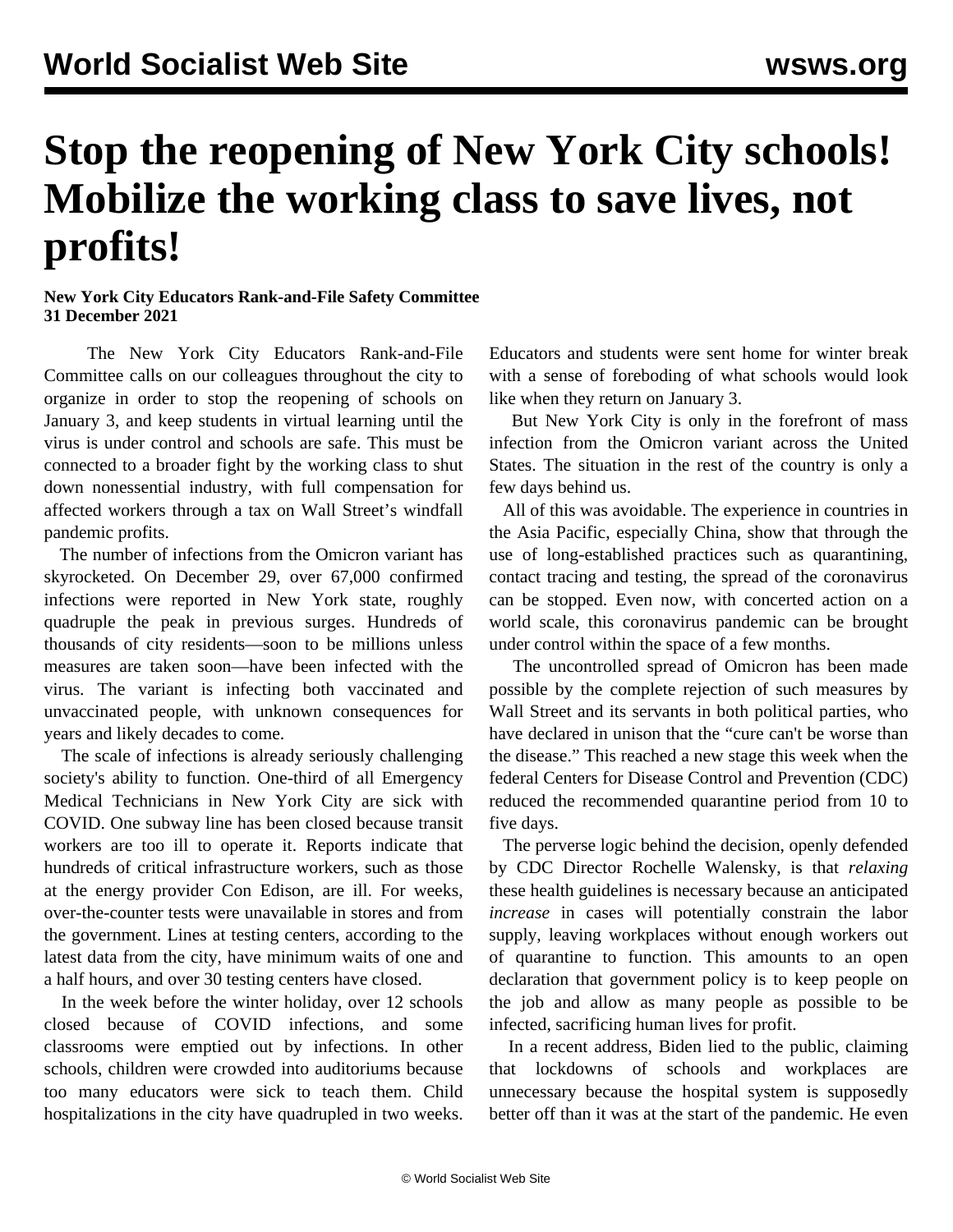## **Stop the reopening of New York City schools! Mobilize the working class to save lives, not profits!**

## **New York City Educators Rank-and-File Safety Committee 31 December 2021**

 The New York City Educators Rank-and-File Committee calls on our colleagues throughout the city to organize in order to stop the reopening of schools on January 3, and keep students in virtual learning until the virus is under control and schools are safe. This must be connected to a broader fight by the working class to shut down nonessential industry, with full compensation for affected workers through a tax on Wall Street's windfall pandemic profits.

 The number of infections from the Omicron variant has skyrocketed. On December 29, over 67,000 confirmed infections were reported in New York state, roughly quadruple the peak in previous surges. Hundreds of thousands of city residents—soon to be millions unless measures are taken soon—have been infected with the virus. The variant is infecting both vaccinated and unvaccinated people, with unknown consequences for years and likely decades to come.

 The scale of infections is already seriously challenging society's ability to function. One-third of all Emergency Medical Technicians in New York City are sick with COVID. One subway line has been closed because transit workers are too ill to operate it. Reports indicate that hundreds of critical infrastructure workers, such as those at the energy provider Con Edison, are ill. For weeks, over-the-counter tests were unavailable in stores and from the government. Lines at testing centers, according to the latest data from the city, have minimum waits of one and a half hours, and over 30 testing centers have closed.

 In the week before the winter holiday, over 12 schools closed because of COVID infections, and some classrooms were emptied out by infections. In other schools, children were crowded into auditoriums because too many educators were sick to teach them. Child hospitalizations in the city have quadrupled in two weeks.

Educators and students were sent home for winter break with a sense of foreboding of what schools would look like when they return on January 3.

 But New York City is only in the forefront of mass infection from the Omicron variant across the United States. The situation in the rest of the country is only a few days behind us.

 All of this was avoidable. The experience in countries in the Asia Pacific, especially China, show that through the use of long-established practices such as quarantining, contact tracing and testing, the spread of the coronavirus can be stopped. Even now, with concerted action on a world scale, this coronavirus pandemic can be brought under control within the space of a few months.

 The uncontrolled spread of Omicron has been made possible by the complete rejection of such measures by Wall Street and its servants in both political parties, who have declared in unison that the "cure can't be worse than the disease." This reached a new stage this week when the federal Centers for Disease Control and Prevention (CDC) reduced the recommended quarantine period from 10 to five days.

 The perverse logic behind the decision, openly defended by CDC Director Rochelle Walensky, is that *relaxing* these health guidelines is necessary because an anticipated *increase* in cases will potentially constrain the labor supply, leaving workplaces without enough workers out of quarantine to function. This amounts to an open declaration that government policy is to keep people on the job and allow as many people as possible to be infected, sacrificing human lives for profit.

 In a recent address, Biden lied to the public, claiming that lockdowns of schools and workplaces are unnecessary because the hospital system is supposedly better off than it was at the start of the pandemic. He even